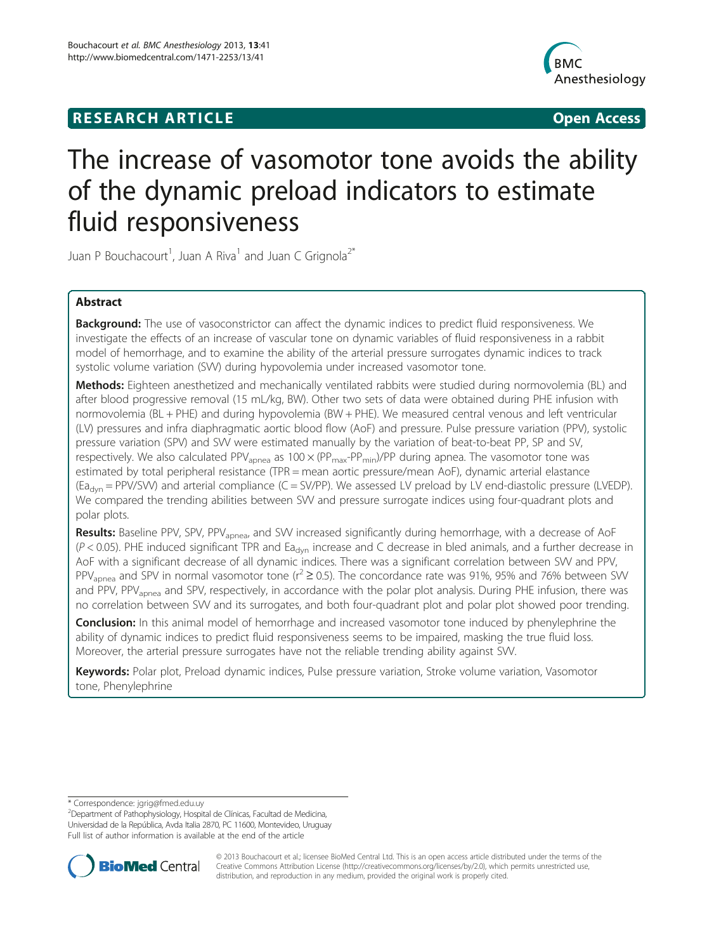## **RESEARCH ARTICLE CONSUMING A RESEARCH ARTICLE**



# The increase of vasomotor tone avoids the ability of the dynamic preload indicators to estimate fluid responsiveness

Juan P Bouchacourt<sup>1</sup>, Juan A Riva<sup>1</sup> and Juan C Grignola<sup>2\*</sup>

## Abstract

**Background:** The use of vasoconstrictor can affect the dynamic indices to predict fluid responsiveness. We investigate the effects of an increase of vascular tone on dynamic variables of fluid responsiveness in a rabbit model of hemorrhage, and to examine the ability of the arterial pressure surrogates dynamic indices to track systolic volume variation (SVV) during hypovolemia under increased vasomotor tone.

Methods: Eighteen anesthetized and mechanically ventilated rabbits were studied during normovolemia (BL) and after blood progressive removal (15 mL/kg, BW). Other two sets of data were obtained during PHE infusion with normovolemia (BL + PHE) and during hypovolemia (BW + PHE). We measured central venous and left ventricular (LV) pressures and infra diaphragmatic aortic blood flow (AoF) and pressure. Pulse pressure variation (PPV), systolic pressure variation (SPV) and SVV were estimated manually by the variation of beat-to-beat PP, SP and SV, respectively. We also calculated PPV<sub>apnea</sub> as  $100 \times (PP_{max}-PP_{min})/PP$  during apnea. The vasomotor tone was estimated by total peripheral resistance (TPR = mean aortic pressure/mean AoF), dynamic arterial elastance (Ea<sub>dyn</sub> = PPV/SVV) and arterial compliance (C = SV/PP). We assessed LV preload by LV end-diastolic pressure (LVEDP). We compared the trending abilities between SVV and pressure surrogate indices using four-quadrant plots and polar plots.

Results: Baseline PPV, SPV, PPV<sub>apnea</sub>, and SVV increased significantly during hemorrhage, with a decrease of AoF  $(P < 0.05)$ . PHE induced significant TPR and Ea<sub>dyn</sub> increase and C decrease in bled animals, and a further decrease in AoF with a significant decrease of all dynamic indices. There was a significant correlation between SVV and PPV, PPV<sub>apnea</sub> and SPV in normal vasomotor tone ( $r^2 \ge 0.5$ ). The concordance rate was 91%, 95% and 76% between SW and PPV, PPV<sub>apnea</sub> and SPV, respectively, in accordance with the polar plot analysis. During PHE infusion, there was no correlation between SVV and its surrogates, and both four-quadrant plot and polar plot showed poor trending.

**Conclusion:** In this animal model of hemorrhage and increased vasomotor tone induced by phenylephrine the ability of dynamic indices to predict fluid responsiveness seems to be impaired, masking the true fluid loss. Moreover, the arterial pressure surrogates have not the reliable trending ability against SVV.

Keywords: Polar plot, Preload dynamic indices, Pulse pressure variation, Stroke volume variation, Vasomotor tone, Phenylephrine

<sup>2</sup>Department of Pathophysiology, Hospital de Clínicas, Facultad de Medicina, Universidad de la República, Avda Italia 2870, PC 11600, Montevideo, Uruguay Full list of author information is available at the end of the article



© 2013 Bouchacourt et al.; licensee BioMed Central Ltd. This is an open access article distributed under the terms of the Creative Commons Attribution License (<http://creativecommons.org/licenses/by/2.0>), which permits unrestricted use, distribution, and reproduction in any medium, provided the original work is properly cited.

<sup>\*</sup> Correspondence: [jgrig@fmed.edu.uy](mailto:jgrig@fmed.edu.uy) <sup>2</sup>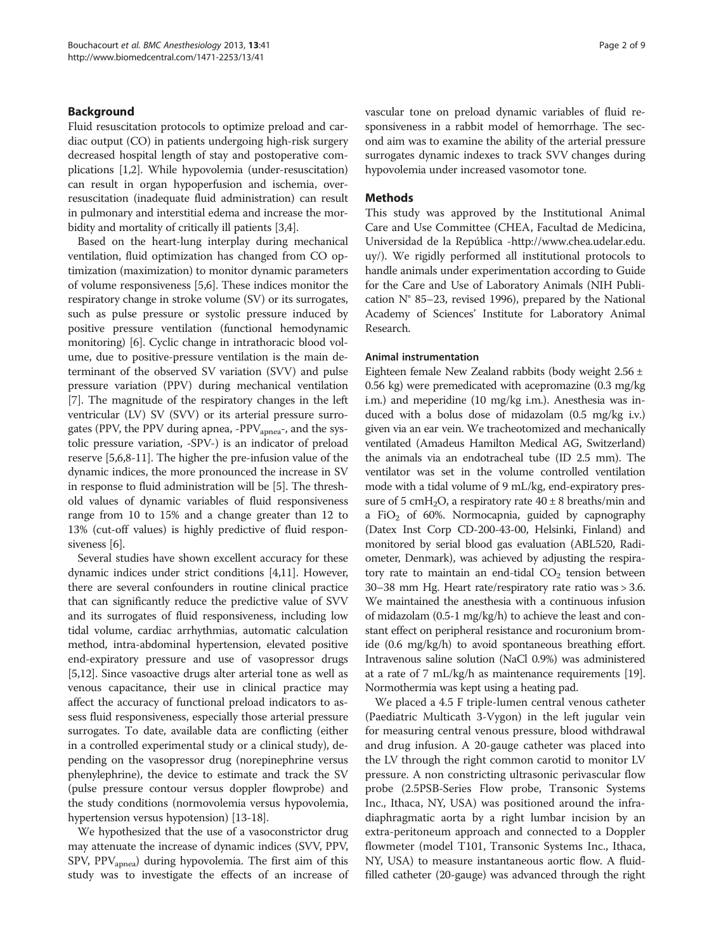## Background

Fluid resuscitation protocols to optimize preload and cardiac output (CO) in patients undergoing high-risk surgery decreased hospital length of stay and postoperative complications [\[1,2](#page-7-0)]. While hypovolemia (under-resuscitation) can result in organ hypoperfusion and ischemia, overresuscitation (inadequate fluid administration) can result in pulmonary and interstitial edema and increase the morbidity and mortality of critically ill patients [\[3,4](#page-7-0)].

Based on the heart-lung interplay during mechanical ventilation, fluid optimization has changed from CO optimization (maximization) to monitor dynamic parameters of volume responsiveness [\[5,6\]](#page-7-0). These indices monitor the respiratory change in stroke volume (SV) or its surrogates, such as pulse pressure or systolic pressure induced by positive pressure ventilation (functional hemodynamic monitoring) [\[6](#page-7-0)]. Cyclic change in intrathoracic blood volume, due to positive-pressure ventilation is the main determinant of the observed SV variation (SVV) and pulse pressure variation (PPV) during mechanical ventilation [[7\]](#page-7-0). The magnitude of the respiratory changes in the left ventricular (LV) SV (SVV) or its arterial pressure surrogates (PPV, the PPV during apnea, -PPV<sub>apnea</sub>-, and the systolic pressure variation, -SPV-) is an indicator of preload reserve [\[5,6,8-11\]](#page-7-0). The higher the pre-infusion value of the dynamic indices, the more pronounced the increase in SV in response to fluid administration will be [\[5](#page-7-0)]. The threshold values of dynamic variables of fluid responsiveness range from 10 to 15% and a change greater than 12 to 13% (cut-off values) is highly predictive of fluid responsiveness [\[6](#page-7-0)].

Several studies have shown excellent accuracy for these dynamic indices under strict conditions [\[4,11\]](#page-7-0). However, there are several confounders in routine clinical practice that can significantly reduce the predictive value of SVV and its surrogates of fluid responsiveness, including low tidal volume, cardiac arrhythmias, automatic calculation method, intra-abdominal hypertension, elevated positive end-expiratory pressure and use of vasopressor drugs [[5,12](#page-7-0)]. Since vasoactive drugs alter arterial tone as well as venous capacitance, their use in clinical practice may affect the accuracy of functional preload indicators to assess fluid responsiveness, especially those arterial pressure surrogates. To date, available data are conflicting (either in a controlled experimental study or a clinical study), depending on the vasopressor drug (norepinephrine versus phenylephrine), the device to estimate and track the SV (pulse pressure contour versus doppler flowprobe) and the study conditions (normovolemia versus hypovolemia, hypertension versus hypotension) [\[13](#page-7-0)-[18](#page-7-0)].

We hypothesized that the use of a vasoconstrictor drug may attenuate the increase of dynamic indices (SVV, PPV, SPV,  $PPV_{\text{apnea}}$ ) during hypovolemia. The first aim of this study was to investigate the effects of an increase of vascular tone on preload dynamic variables of fluid responsiveness in a rabbit model of hemorrhage. The second aim was to examine the ability of the arterial pressure surrogates dynamic indexes to track SVV changes during hypovolemia under increased vasomotor tone.

### Methods

This study was approved by the Institutional Animal Care and Use Committee (CHEA, Facultad de Medicina, Universidad de la República -[http://www.chea.udelar.edu.](http://www.chea.udelar.edu.uy/) [uy/\)](http://www.chea.udelar.edu.uy/). We rigidly performed all institutional protocols to handle animals under experimentation according to Guide for the Care and Use of Laboratory Animals (NIH Publication N° 85–23, revised 1996), prepared by the National Academy of Sciences' Institute for Laboratory Animal Research.

#### Animal instrumentation

Eighteen female New Zealand rabbits (body weight 2.56 ± 0.56 kg) were premedicated with acepromazine (0.3 mg/kg i.m.) and meperidine (10 mg/kg i.m.). Anesthesia was induced with a bolus dose of midazolam (0.5 mg/kg i.v.) given via an ear vein. We tracheotomized and mechanically ventilated (Amadeus Hamilton Medical AG, Switzerland) the animals via an endotracheal tube (ID 2.5 mm). The ventilator was set in the volume controlled ventilation mode with a tidal volume of 9 mL/kg, end-expiratory pressure of 5 cmH<sub>2</sub>O, a respiratory rate  $40 \pm 8$  breaths/min and a FiO<sub>2</sub> of 60%. Normocapnia, guided by capnography (Datex Inst Corp CD-200-43-00, Helsinki, Finland) and monitored by serial blood gas evaluation (ABL520, Radiometer, Denmark), was achieved by adjusting the respiratory rate to maintain an end-tidal  $CO<sub>2</sub>$  tension between 30–38 mm Hg. Heart rate/respiratory rate ratio was > 3.6. We maintained the anesthesia with a continuous infusion of midazolam (0.5-1 mg/kg/h) to achieve the least and constant effect on peripheral resistance and rocuronium bromide (0.6 mg/kg/h) to avoid spontaneous breathing effort. Intravenous saline solution (NaCl 0.9%) was administered at a rate of 7 mL/kg/h as maintenance requirements [\[19](#page-7-0)]. Normothermia was kept using a heating pad.

We placed a 4.5 F triple-lumen central venous catheter (Paediatric Multicath 3-Vygon) in the left jugular vein for measuring central venous pressure, blood withdrawal and drug infusion. A 20-gauge catheter was placed into the LV through the right common carotid to monitor LV pressure. A non constricting ultrasonic perivascular flow probe (2.5PSB-Series Flow probe, Transonic Systems Inc., Ithaca, NY, USA) was positioned around the infradiaphragmatic aorta by a right lumbar incision by an extra-peritoneum approach and connected to a Doppler flowmeter (model T101, Transonic Systems Inc., Ithaca, NY, USA) to measure instantaneous aortic flow. A fluidfilled catheter (20-gauge) was advanced through the right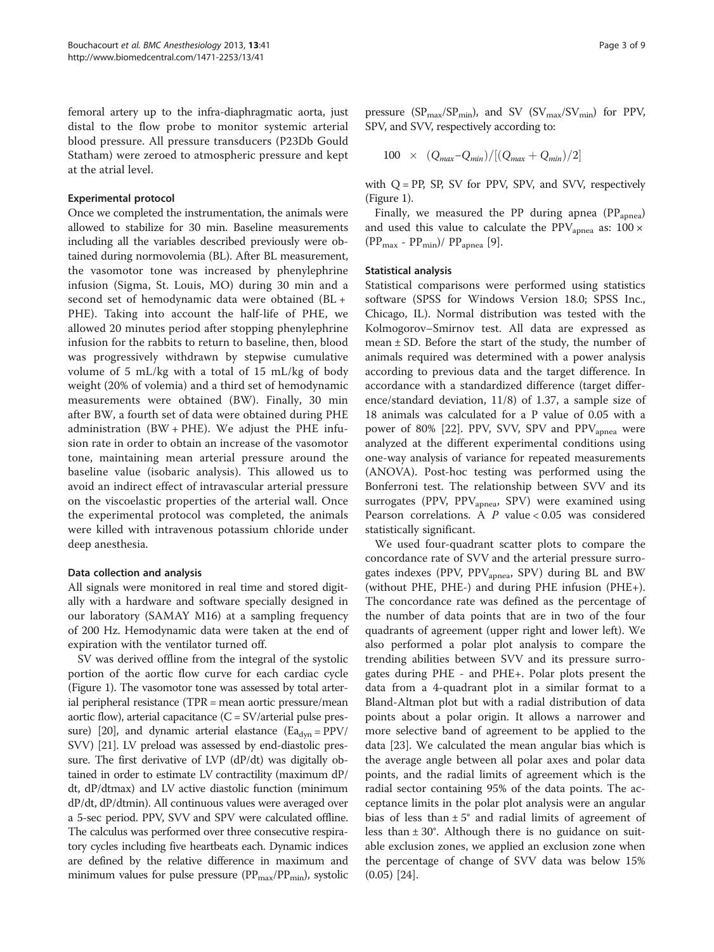femoral artery up to the infra-diaphragmatic aorta, just distal to the flow probe to monitor systemic arterial blood pressure. All pressure transducers (P23Db Gould Statham) were zeroed to atmospheric pressure and kept at the atrial level.

#### Experimental protocol

Once we completed the instrumentation, the animals were allowed to stabilize for 30 min. Baseline measurements including all the variables described previously were obtained during normovolemia (BL). After BL measurement, the vasomotor tone was increased by phenylephrine infusion (Sigma, St. Louis, MO) during 30 min and a second set of hemodynamic data were obtained (BL + PHE). Taking into account the half-life of PHE, we allowed 20 minutes period after stopping phenylephrine infusion for the rabbits to return to baseline, then, blood was progressively withdrawn by stepwise cumulative volume of 5 mL/kg with a total of 15 mL/kg of body weight (20% of volemia) and a third set of hemodynamic measurements were obtained (BW). Finally, 30 min after BW, a fourth set of data were obtained during PHE administration  $(BW + PHE)$ . We adjust the PHE infusion rate in order to obtain an increase of the vasomotor tone, maintaining mean arterial pressure around the baseline value (isobaric analysis). This allowed us to avoid an indirect effect of intravascular arterial pressure on the viscoelastic properties of the arterial wall. Once the experimental protocol was completed, the animals were killed with intravenous potassium chloride under deep anesthesia.

#### Data collection and analysis

All signals were monitored in real time and stored digitally with a hardware and software specially designed in our laboratory (SAMAY M16) at a sampling frequency of 200 Hz. Hemodynamic data were taken at the end of expiration with the ventilator turned off.

SV was derived offline from the integral of the systolic portion of the aortic flow curve for each cardiac cycle (Figure [1](#page-3-0)). The vasomotor tone was assessed by total arterial peripheral resistance (TPR = mean aortic pressure/mean aortic flow), arterial capacitance  $(C = SV/arterial$  pulse pres-sure) [[20](#page-7-0)], and dynamic arterial elastance (Ea<sub>dyn</sub> = PPV/ SVV) [[21](#page-7-0)]. LV preload was assessed by end-diastolic pressure. The first derivative of LVP (dP/dt) was digitally obtained in order to estimate LV contractility (maximum dP/ dt, dP/dtmax) and LV active diastolic function (minimum dP/dt, dP/dtmin). All continuous values were averaged over a 5-sec period. PPV, SVV and SPV were calculated offline. The calculus was performed over three consecutive respiratory cycles including five heartbeats each. Dynamic indices are defined by the relative difference in maximum and minimum values for pulse pressure ( $PP<sub>max</sub>/PP<sub>min</sub>$ ), systolic

pressure ( $SP_{\text{max}}/SP_{\text{min}}$ ), and SV ( $SV_{\text{max}}/SV_{\text{min}}$ ) for PPV, SPV, and SVV, respectively according to:

$$
100 \times (Q_{max} - Q_{min}) / [(Q_{max} + Q_{min})/2]
$$

with  $Q = PP$ , SP, SV for PPV, SPV, and SVV, respectively (Figure [1\)](#page-3-0).

Finally, we measured the PP during apnea  $(PP<sub>apnea</sub>)$ and used this value to calculate the PPV<sub>apnea</sub> as:  $100 \times$  $(PP<sub>max</sub> - PP<sub>min</sub>)/ PP<sub>apnea</sub>$  [\[9](#page-7-0)].

## Statistical analysis

Statistical comparisons were performed using statistics software (SPSS for Windows Version 18.0; SPSS Inc., Chicago, IL). Normal distribution was tested with the Kolmogorov–Smirnov test. All data are expressed as mean  $\pm$  SD. Before the start of the study, the number of animals required was determined with a power analysis according to previous data and the target difference. In accordance with a standardized difference (target difference/standard deviation, 11/8) of 1.37, a sample size of 18 animals was calculated for a P value of 0.05 with a power of 80% [\[22](#page-7-0)]. PPV, SVV, SPV and  $PPV_{\text{annea}}$  were analyzed at the different experimental conditions using one-way analysis of variance for repeated measurements (ANOVA). Post-hoc testing was performed using the Bonferroni test. The relationship between SVV and its surrogates (PPV, PPV<sub>apnea</sub>, SPV) were examined using Pearson correlations. A  $P$  value < 0.05 was considered statistically significant.

We used four-quadrant scatter plots to compare the concordance rate of SVV and the arterial pressure surrogates indexes (PPV, PPV<sub>apnea</sub>, SPV) during BL and BW (without PHE, PHE-) and during PHE infusion (PHE+). The concordance rate was defined as the percentage of the number of data points that are in two of the four quadrants of agreement (upper right and lower left). We also performed a polar plot analysis to compare the trending abilities between SVV and its pressure surrogates during PHE - and PHE+. Polar plots present the data from a 4-quadrant plot in a similar format to a Bland-Altman plot but with a radial distribution of data points about a polar origin. It allows a narrower and more selective band of agreement to be applied to the data [\[23](#page-7-0)]. We calculated the mean angular bias which is the average angle between all polar axes and polar data points, and the radial limits of agreement which is the radial sector containing 95% of the data points. The acceptance limits in the polar plot analysis were an angular bias of less than  $\pm 5^{\circ}$  and radial limits of agreement of less than  $\pm 30^{\circ}$ . Although there is no guidance on suitable exclusion zones, we applied an exclusion zone when the percentage of change of SVV data was below 15% (0.05) [\[24\]](#page-7-0).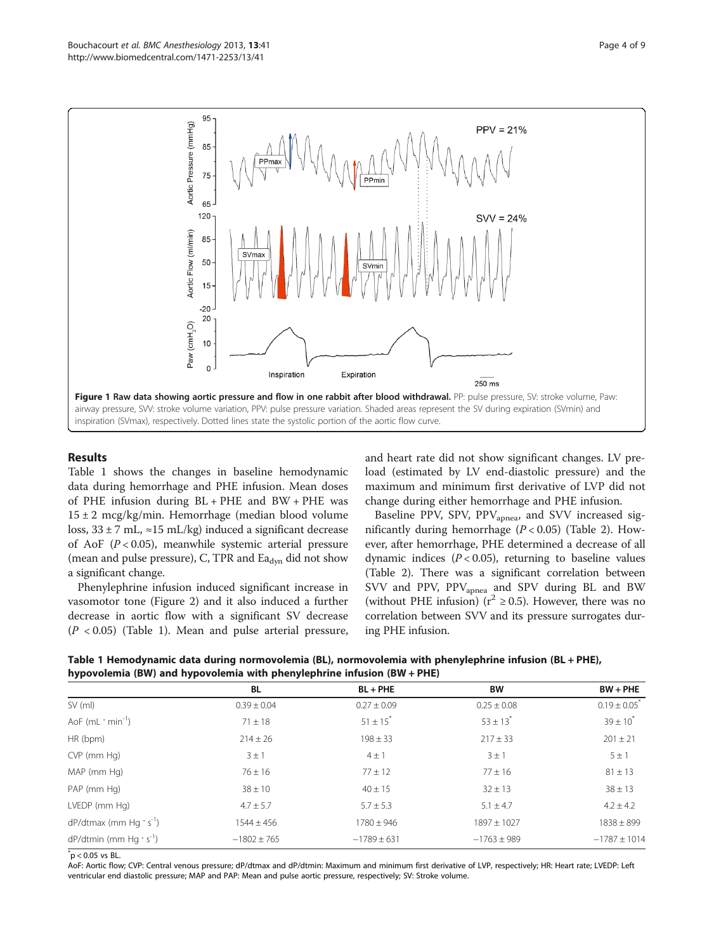<span id="page-3-0"></span>

## Results

Table 1 shows the changes in baseline hemodynamic data during hemorrhage and PHE infusion. Mean doses of PHE infusion during BL + PHE and BW + PHE was 15 ± 2 mcg/kg/min. Hemorrhage (median blood volume loss,  $33 \pm 7$  mL,  $\approx 15$  mL/kg) induced a significant decrease of AoF  $(P < 0.05)$ , meanwhile systemic arterial pressure (mean and pulse pressure), C, TPR and  $\text{Ea}_{\text{dyn}}$  did not show a significant change.

Phenylephrine infusion induced significant increase in vasomotor tone (Figure [2](#page-4-0)) and it also induced a further decrease in aortic flow with a significant SV decrease  $(P < 0.05)$  (Table 1). Mean and pulse arterial pressure, and heart rate did not show significant changes. LV preload (estimated by LV end-diastolic pressure) and the maximum and minimum first derivative of LVP did not change during either hemorrhage and PHE infusion.

Baseline PPV, SPV, PPV<sub>apnea</sub>, and SVV increased significantly during hemorrhage  $(P < 0.05)$  (Table [2](#page-4-0)). However, after hemorrhage, PHE determined a decrease of all dynamic indices  $(P < 0.05)$ , returning to baseline values (Table [2\)](#page-4-0). There was a significant correlation between SVV and PPV, PPV<sub>apnea</sub> and SPV during BL and BW (without PHE infusion) ( $r^2 \ge 0.5$ ). However, there was no correlation between SVV and its pressure surrogates during PHE infusion.

Table 1 Hemodynamic data during normovolemia (BL), normovolemia with phenylephrine infusion (BL + PHE), hypovolemia (BW) and hypovolemia with phenylephrine infusion (BW + PHE)

| . .<br>. .<br>. .                      |                 |                 |                 |                              |
|----------------------------------------|-----------------|-----------------|-----------------|------------------------------|
|                                        | BL              | $BL + PHE$      | <b>BW</b>       | $BW + PHE$                   |
| $SV$ (ml)                              | $0.39 \pm 0.04$ | $0.27 \pm 0.09$ | $0.25 \pm 0.08$ | $0.19 \pm 0.05$ <sup>*</sup> |
| AoF (mL · min <sup>-1</sup> )          | $71 \pm 18$     | $51 \pm 15^{*}$ | $53 \pm 13^{*}$ | $39 \pm 10^{*}$              |
| HR (bpm)                               | $214 \pm 26$    | $198 \pm 33$    | $217 \pm 33$    | $201 \pm 21$                 |
| CVP (mm Hg)                            | $3 \pm 1$       | $4 \pm 1$       | $3 \pm 1$       | $5 \pm 1$                    |
| MAP (mm Hg)                            | $76 \pm 16$     | $77 \pm 12$     | $77 \pm 16$     | $81 \pm 13$                  |
| PAP (mm Hg)                            | $38 \pm 10$     | $40 \pm 15$     | $32 \pm 13$     | $38 \pm 13$                  |
| LVEDP (mm Hg)                          | $4.7 \pm 5.7$   | $5.7 \pm 5.3$   | $5.1 \pm 4.7$   | $4.2 \pm 4.2$                |
| $dP/dt$ max (mm Hg · s <sup>-1</sup> ) | $1544 \pm 456$  | $1780 \pm 946$  | $1897 \pm 1027$ | $1838 \pm 899$               |
| $dP/dt$ min (mm Hg · s <sup>-1</sup> ) | $-1802 \pm 765$ | $-1789 \pm 631$ | $-1763 \pm 989$ | $-1787 \pm 1014$             |

 $p$  < 0.05 vs BL.

AoF: Aortic flow; CVP: Central venous pressure; dP/dtmax and dP/dtmin: Maximum and minimum first derivative of LVP, respectively; HR: Heart rate; LVEDP: Left ventricular end diastolic pressure; MAP and PAP: Mean and pulse aortic pressure, respectively; SV: Stroke volume.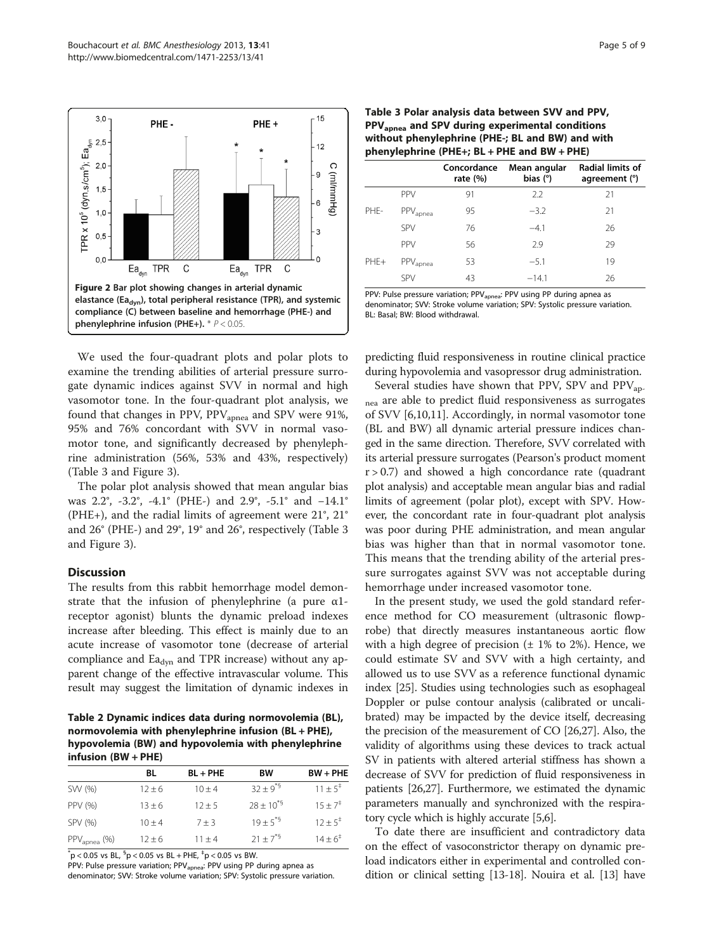<span id="page-4-0"></span>

We used the four-quadrant plots and polar plots to examine the trending abilities of arterial pressure surrogate dynamic indices against SVV in normal and high vasomotor tone. In the four-quadrant plot analysis, we found that changes in PPV,  $PPV_{\text{annea}}$  and SPV were 91%, 95% and 76% concordant with SVV in normal vasomotor tone, and significantly decreased by phenylephrine administration (56%, 53% and 43%, respectively) (Table 3 and Figure [3](#page-5-0)).

The polar plot analysis showed that mean angular bias was 2.2°, -3.2°, -4.1° (PHE-) and 2.9°, -5.1° and −14.1° (PHE+), and the radial limits of agreement were 21°, 21° and 26° (PHE-) and 29°, 19° and 26°, respectively (Table 3 and Figure [3](#page-5-0)).

## Discussion

The results from this rabbit hemorrhage model demonstrate that the infusion of phenylephrine (a pure  $\alpha$ 1receptor agonist) blunts the dynamic preload indexes increase after bleeding. This effect is mainly due to an acute increase of vasomotor tone (decrease of arterial compliance and  $\text{Ea}_{\text{dyn}}$  and TPR increase) without any apparent change of the effective intravascular volume. This result may suggest the limitation of dynamic indexes in

Table 2 Dynamic indices data during normovolemia (BL), normovolemia with phenylephrine infusion (BL + PHE), hypovolemia (BW) and hypovolemia with phenylephrine infusion (BW + PHE)

|                           | BL         | $BL + PHE$ | <b>BW</b>        | $BW + PHE$          |
|---------------------------|------------|------------|------------------|---------------------|
| SW (%)                    | $12 \pm 6$ | $10 + 4$   | $32 \pm 9^{*5}$  | $11 + 5^{\ddagger}$ |
| PPV (%)                   | $13 \pm 6$ | $12 + 5$   | $28 \pm 10^{*5}$ | $15 + 7^{\ddagger}$ |
| SPV (%)                   | $10 + 4$   | $7 + 3$    | $19 + 5^{+5}$    | $12 + 5^+$          |
| $PPV_{\text{aponea}}$ (%) | $12 + 6$   | $11 + 4$   | $21 \pm 7^{*9}$  | $14 \pm 6^{\circ}$  |

 $p < 0.05$  vs BL,  $p < 0.05$  vs BL + PHE,  $p < 0.05$  vs BW.

PPV: Pulse pressure variation; PPV<sub>apnea</sub>: PPV using PP during apnea as denominator; SVV: Stroke volume variation; SPV: Systolic pressure variation.

| Table 3 Polar analysis data between SVV and PPV,            |  |  |  |  |
|-------------------------------------------------------------|--|--|--|--|
| PPV <sub>apnea</sub> and SPV during experimental conditions |  |  |  |  |
| without phenylephrine (PHE-; BL and BW) and with            |  |  |  |  |
| phenylephrine (PHE+; BL + PHE and BW + PHE)                 |  |  |  |  |

|        |                      | Concordance<br>rate $(\%)$ | Mean angular<br>bias $(°)$ | Radial limits of<br>agreement (°) |
|--------|----------------------|----------------------------|----------------------------|-----------------------------------|
| PHF-   | PPV                  | 91                         | 2.2                        | 21                                |
|        | PPV <sub>apnea</sub> | 95                         | $-3.2$                     | 21                                |
|        | <b>SPV</b>           | 76                         | $-4.1$                     | 26                                |
| $PHE+$ | PPV                  | 56                         | 2.9                        | 29                                |
|        | PPV <sub>apnea</sub> | 53                         | $-5.1$                     | 19                                |
|        | <b>SPV</b>           | 43                         | $-14.1$                    | 26                                |

PPV: Pulse pressure variation; PPV<sub>apnea</sub>: PPV using PP during apnea as denominator; SVV: Stroke volume variation; SPV: Systolic pressure variation. BL: Basal; BW: Blood withdrawal.

predicting fluid responsiveness in routine clinical practice during hypovolemia and vasopressor drug administration.

Several studies have shown that PPV, SPV and  $PPV_{\text{an}}$ nea are able to predict fluid responsiveness as surrogates of SVV [\[6,10,11\]](#page-7-0). Accordingly, in normal vasomotor tone (BL and BW) all dynamic arterial pressure indices changed in the same direction. Therefore, SVV correlated with its arterial pressure surrogates (Pearson's product moment  $r > 0.7$ ) and showed a high concordance rate (quadrant plot analysis) and acceptable mean angular bias and radial limits of agreement (polar plot), except with SPV. However, the concordant rate in four-quadrant plot analysis was poor during PHE administration, and mean angular bias was higher than that in normal vasomotor tone. This means that the trending ability of the arterial pressure surrogates against SVV was not acceptable during hemorrhage under increased vasomotor tone.

In the present study, we used the gold standard reference method for CO measurement (ultrasonic flowprobe) that directly measures instantaneous aortic flow with a high degree of precision  $(\pm 1\%$  to 2%). Hence, we could estimate SV and SVV with a high certainty, and allowed us to use SVV as a reference functional dynamic index [\[25\]](#page-7-0). Studies using technologies such as esophageal Doppler or pulse contour analysis (calibrated or uncalibrated) may be impacted by the device itself, decreasing the precision of the measurement of CO [[26,27\]](#page-7-0). Also, the validity of algorithms using these devices to track actual SV in patients with altered arterial stiffness has shown a decrease of SVV for prediction of fluid responsiveness in patients [\[26,27\]](#page-7-0). Furthermore, we estimated the dynamic parameters manually and synchronized with the respiratory cycle which is highly accurate [\[5,6](#page-7-0)].

To date there are insufficient and contradictory data on the effect of vasoconstrictor therapy on dynamic preload indicators either in experimental and controlled condition or clinical setting [\[13](#page-7-0)-[18](#page-7-0)]. Nouira et al. [\[13](#page-7-0)] have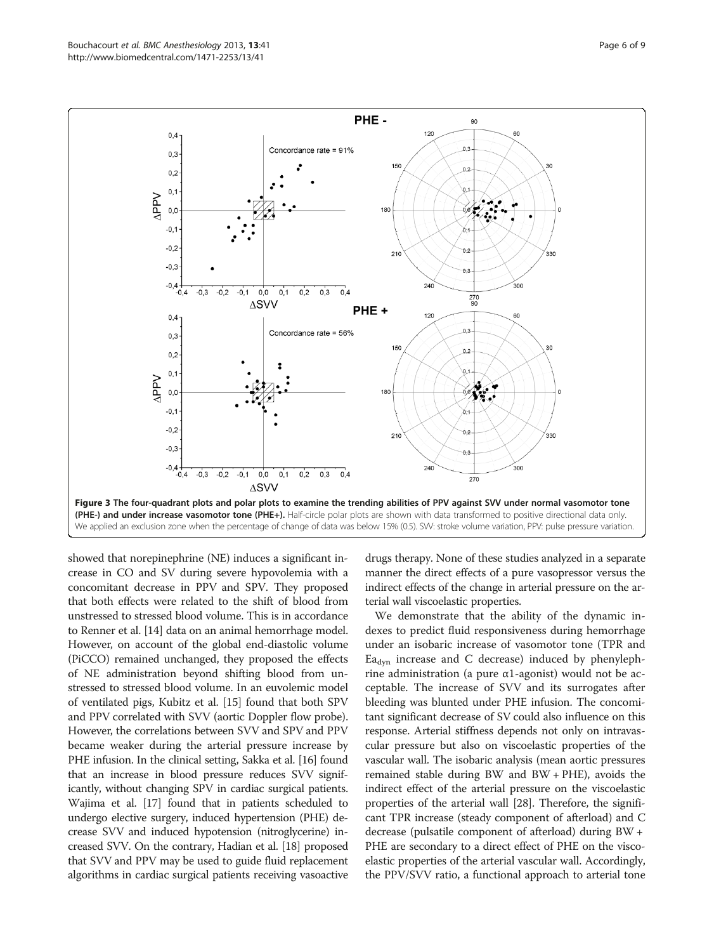<span id="page-5-0"></span>

showed that norepinephrine (NE) induces a significant increase in CO and SV during severe hypovolemia with a concomitant decrease in PPV and SPV. They proposed that both effects were related to the shift of blood from unstressed to stressed blood volume. This is in accordance to Renner et al. [\[14\]](#page-7-0) data on an animal hemorrhage model. However, on account of the global end-diastolic volume (PiCCO) remained unchanged, they proposed the effects of NE administration beyond shifting blood from unstressed to stressed blood volume. In an euvolemic model of ventilated pigs, Kubitz et al. [\[15\]](#page-7-0) found that both SPV and PPV correlated with SVV (aortic Doppler flow probe). However, the correlations between SVV and SPV and PPV became weaker during the arterial pressure increase by PHE infusion. In the clinical setting, Sakka et al. [\[16](#page-7-0)] found that an increase in blood pressure reduces SVV significantly, without changing SPV in cardiac surgical patients. Wajima et al. [\[17\]](#page-7-0) found that in patients scheduled to undergo elective surgery, induced hypertension (PHE) decrease SVV and induced hypotension (nitroglycerine) increased SVV. On the contrary, Hadian et al. [\[18\]](#page-7-0) proposed that SVV and PPV may be used to guide fluid replacement algorithms in cardiac surgical patients receiving vasoactive drugs therapy. None of these studies analyzed in a separate manner the direct effects of a pure vasopressor versus the indirect effects of the change in arterial pressure on the arterial wall viscoelastic properties.

We demonstrate that the ability of the dynamic indexes to predict fluid responsiveness during hemorrhage under an isobaric increase of vasomotor tone (TPR and  $E_{\text{dyn}}$  increase and C decrease) induced by phenylephrine administration (a pure α1-agonist) would not be acceptable. The increase of SVV and its surrogates after bleeding was blunted under PHE infusion. The concomitant significant decrease of SV could also influence on this response. Arterial stiffness depends not only on intravascular pressure but also on viscoelastic properties of the vascular wall. The isobaric analysis (mean aortic pressures remained stable during BW and BW + PHE), avoids the indirect effect of the arterial pressure on the viscoelastic properties of the arterial wall [\[28\]](#page-7-0). Therefore, the significant TPR increase (steady component of afterload) and C decrease (pulsatile component of afterload) during BW + PHE are secondary to a direct effect of PHE on the viscoelastic properties of the arterial vascular wall. Accordingly, the PPV/SVV ratio, a functional approach to arterial tone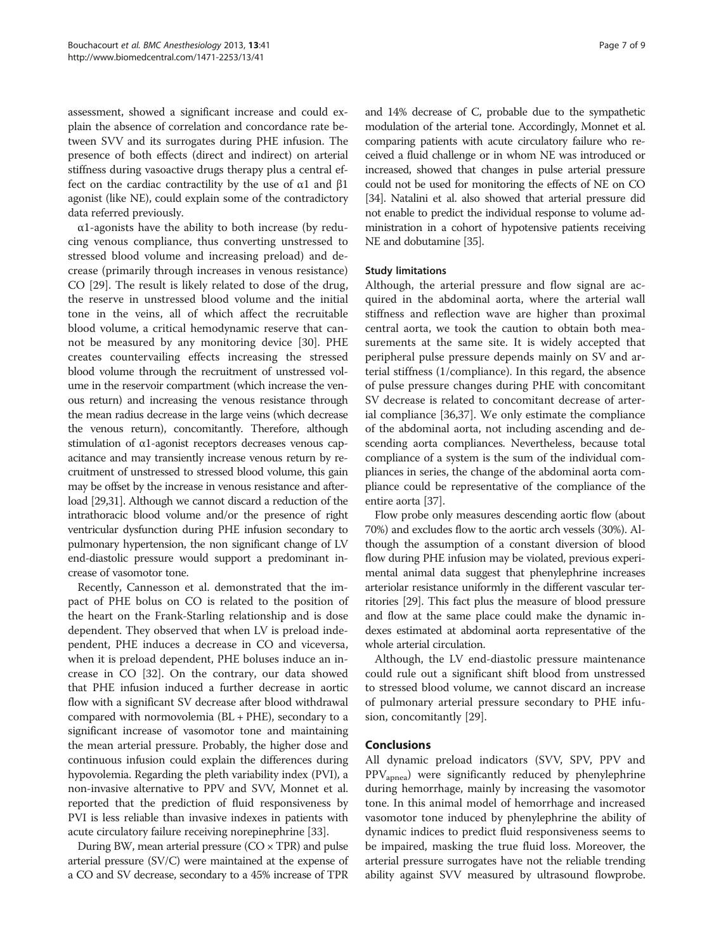assessment, showed a significant increase and could explain the absence of correlation and concordance rate between SVV and its surrogates during PHE infusion. The presence of both effects (direct and indirect) on arterial stiffness during vasoactive drugs therapy plus a central effect on the cardiac contractility by the use of  $\alpha$ 1 and  $\beta$ 1 agonist (like NE), could explain some of the contradictory data referred previously.

 $\alpha$ 1-agonists have the ability to both increase (by reducing venous compliance, thus converting unstressed to stressed blood volume and increasing preload) and decrease (primarily through increases in venous resistance) CO [[29](#page-7-0)]. The result is likely related to dose of the drug, the reserve in unstressed blood volume and the initial tone in the veins, all of which affect the recruitable blood volume, a critical hemodynamic reserve that cannot be measured by any monitoring device [[30\]](#page-7-0). PHE creates countervailing effects increasing the stressed blood volume through the recruitment of unstressed volume in the reservoir compartment (which increase the venous return) and increasing the venous resistance through the mean radius decrease in the large veins (which decrease the venous return), concomitantly. Therefore, although stimulation of α1-agonist receptors decreases venous capacitance and may transiently increase venous return by recruitment of unstressed to stressed blood volume, this gain may be offset by the increase in venous resistance and afterload [\[29,31\]](#page-7-0). Although we cannot discard a reduction of the intrathoracic blood volume and/or the presence of right ventricular dysfunction during PHE infusion secondary to pulmonary hypertension, the non significant change of LV end-diastolic pressure would support a predominant increase of vasomotor tone.

Recently, Cannesson et al. demonstrated that the impact of PHE bolus on CO is related to the position of the heart on the Frank-Starling relationship and is dose dependent. They observed that when LV is preload independent, PHE induces a decrease in CO and viceversa, when it is preload dependent, PHE boluses induce an increase in CO [[32\]](#page-7-0). On the contrary, our data showed that PHE infusion induced a further decrease in aortic flow with a significant SV decrease after blood withdrawal compared with normovolemia (BL + PHE), secondary to a significant increase of vasomotor tone and maintaining the mean arterial pressure. Probably, the higher dose and continuous infusion could explain the differences during hypovolemia. Regarding the pleth variability index (PVI), a non-invasive alternative to PPV and SVV, Monnet et al. reported that the prediction of fluid responsiveness by PVI is less reliable than invasive indexes in patients with acute circulatory failure receiving norepinephrine [[33](#page-7-0)].

During BW, mean arterial pressure  $(CO \times TPR)$  and pulse arterial pressure (SV/C) were maintained at the expense of a CO and SV decrease, secondary to a 45% increase of TPR

and 14% decrease of C, probable due to the sympathetic modulation of the arterial tone. Accordingly, Monnet et al. comparing patients with acute circulatory failure who received a fluid challenge or in whom NE was introduced or increased, showed that changes in pulse arterial pressure could not be used for monitoring the effects of NE on CO [[34](#page-7-0)]. Natalini et al. also showed that arterial pressure did not enable to predict the individual response to volume administration in a cohort of hypotensive patients receiving NE and dobutamine [[35](#page-8-0)].

#### Study limitations

Although, the arterial pressure and flow signal are acquired in the abdominal aorta, where the arterial wall stiffness and reflection wave are higher than proximal central aorta, we took the caution to obtain both measurements at the same site. It is widely accepted that peripheral pulse pressure depends mainly on SV and arterial stiffness (1/compliance). In this regard, the absence of pulse pressure changes during PHE with concomitant SV decrease is related to concomitant decrease of arterial compliance [\[36,37](#page-8-0)]. We only estimate the compliance of the abdominal aorta, not including ascending and descending aorta compliances. Nevertheless, because total compliance of a system is the sum of the individual compliances in series, the change of the abdominal aorta compliance could be representative of the compliance of the entire aorta [\[37](#page-8-0)].

Flow probe only measures descending aortic flow (about 70%) and excludes flow to the aortic arch vessels (30%). Although the assumption of a constant diversion of blood flow during PHE infusion may be violated, previous experimental animal data suggest that phenylephrine increases arteriolar resistance uniformly in the different vascular territories [\[29](#page-7-0)]. This fact plus the measure of blood pressure and flow at the same place could make the dynamic indexes estimated at abdominal aorta representative of the whole arterial circulation.

Although, the LV end-diastolic pressure maintenance could rule out a significant shift blood from unstressed to stressed blood volume, we cannot discard an increase of pulmonary arterial pressure secondary to PHE infusion, concomitantly [\[29\]](#page-7-0).

## Conclusions

All dynamic preload indicators (SVV, SPV, PPV and PPVapnea) were significantly reduced by phenylephrine during hemorrhage, mainly by increasing the vasomotor tone. In this animal model of hemorrhage and increased vasomotor tone induced by phenylephrine the ability of dynamic indices to predict fluid responsiveness seems to be impaired, masking the true fluid loss. Moreover, the arterial pressure surrogates have not the reliable trending ability against SVV measured by ultrasound flowprobe.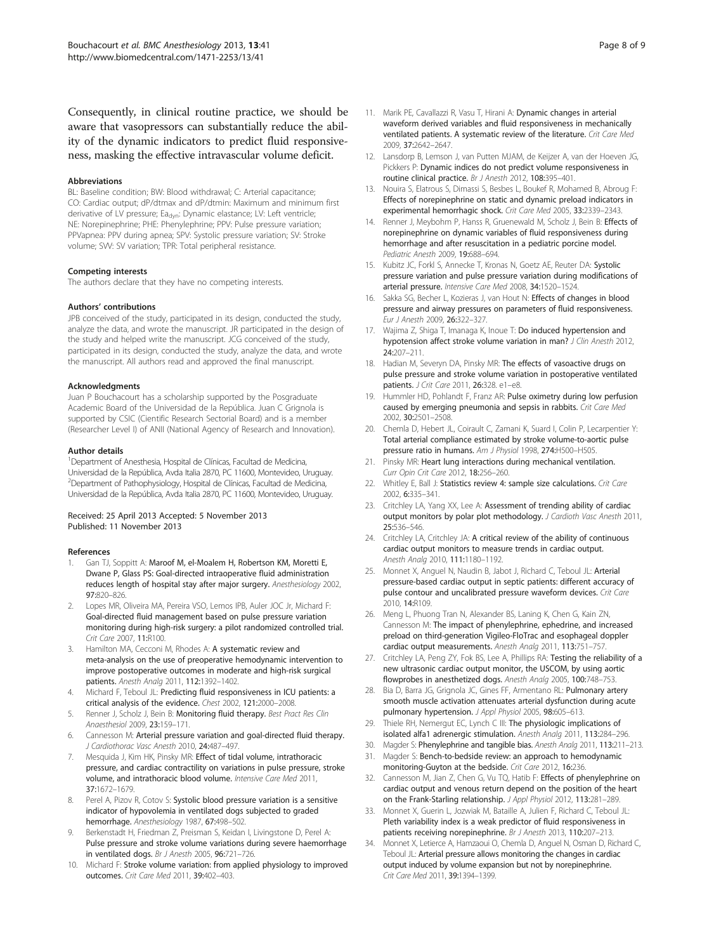<span id="page-7-0"></span>Consequently, in clinical routine practice, we should be aware that vasopressors can substantially reduce the ability of the dynamic indicators to predict fluid responsiveness, masking the effective intravascular volume deficit.

#### Abbreviations

BL: Baseline condition; BW: Blood withdrawal; C: Arterial capacitance; CO: Cardiac output; dP/dtmax and dP/dtmin: Maximum and minimum first derivative of LV pressure; Ea<sub>dyn</sub>: Dynamic elastance; LV: Left ventricle; NE: Norepinephrine; PHE: Phenylephrine; PPV: Pulse pressure variation; PPVapnea: PPV during apnea; SPV: Systolic pressure variation; SV: Stroke volume; SVV: SV variation; TPR: Total peripheral resistance.

#### Competing interests

The authors declare that they have no competing interests.

#### Authors' contributions

JPB conceived of the study, participated in its design, conducted the study, analyze the data, and wrote the manuscript. JR participated in the design of the study and helped write the manuscript. JCG conceived of the study, participated in its design, conducted the study, analyze the data, and wrote the manuscript. All authors read and approved the final manuscript.

#### Acknowledgments

Juan P Bouchacourt has a scholarship supported by the Posgraduate Academic Board of the Universidad de la República. Juan C Grignola is supported by CSIC (Cientific Research Sectorial Board) and is a member (Researcher Level I) of ANII (National Agency of Research and Innovation).

#### Author details

<sup>1</sup> Department of Anesthesia, Hospital de Clínicas, Facultad de Medicina, Universidad de la República, Avda Italia 2870, PC 11600, Montevideo, Uruguay. <sup>2</sup>Department of Pathophysiology, Hospital de Clínicas, Facultad de Medicina, Universidad de la República, Avda Italia 2870, PC 11600, Montevideo, Uruguay.

#### Received: 25 April 2013 Accepted: 5 November 2013 Published: 11 November 2013

#### References

- 1. Gan TJ, Soppitt A: Maroof M, el-Moalem H, Robertson KM, Moretti E, Dwane P, Glass PS: Goal-directed intraoperative fluid administration reduces length of hospital stay after major surgery. Anesthesiology 2002, 97:820–826.
- 2. Lopes MR, Oliveira MA, Pereira VSO, Lemos IPB, Auler JOC Jr, Michard F: Goal-directed fluid management based on pulse pressure variation monitoring during high-risk surgery: a pilot randomized controlled trial. Crit Care 2007, 11:R100.
- 3. Hamilton MA, Cecconi M, Rhodes A: A systematic review and meta-analysis on the use of preoperative hemodynamic intervention to improve postoperative outcomes in moderate and high-risk surgical patients. Anesth Analg 2011, 112:1392–1402.
- 4. Michard F, Teboul JL: Predicting fluid responsiveness in ICU patients: a critical analysis of the evidence. Chest 2002, 121:2000–2008.
- 5. Renner J, Scholz J, Bein B: Monitoring fluid therapy. Best Pract Res Clin Anaesthesiol 2009, 23:159–171.
- 6. Cannesson M: Arterial pressure variation and goal-directed fluid therapy. J Cardiothorac Vasc Anesth 2010, 24:487–497.
- 7. Mesquida J, Kim HK, Pinsky MR: Effect of tidal volume, intrathoracic pressure, and cardiac contractility on variations in pulse pressure, stroke volume, and intrathoracic blood volume. Intensive Care Med 2011, 37:1672–1679.
- 8. Perel A, Pizov R, Cotov S: Systolic blood pressure variation is a sensitive indicator of hypovolemia in ventilated dogs subjected to graded hemorrhage. Anesthesiology 1987, 67:498–502.
- 9. Berkenstadt H, Friedman Z, Preisman S, Keidan I, Livingstone D, Perel A: Pulse pressure and stroke volume variations during severe haemorrhage in ventilated dogs. Br J Anesth 2005, 96:721–726.
- 10. Michard F: Stroke volume variation: from applied physiology to improved outcomes. Crit Care Med 2011, 39:402–403.
- 11. Marik PE, Cavallazzi R, Vasu T, Hirani A: Dynamic changes in arterial waveform derived variables and fluid responsiveness in mechanically ventilated patients. A systematic review of the literature. Crit Care Med 2009, 37:2642–2647.
- 12. Lansdorp B, Lemson J, van Putten MJAM, de Keijzer A, van der Hoeven JG, Pickkers P: Dynamic indices do not predict volume responsiveness in routine clinical practice. Br J Anesth 2012, 108:395–401.
- 13. Nouira S, Elatrous S, Dimassi S, Besbes L, Boukef R, Mohamed B, Abroug F: Effects of norepinephrine on static and dynamic preload indicators in experimental hemorrhagic shock. Crit Care Med 2005, 33:2339–2343.
- 14. Renner J, Meybohm P, Hanss R, Gruenewald M, Scholz J, Bein B: Effects of norepinephrine on dynamic variables of fluid responsiveness during hemorrhage and after resuscitation in a pediatric porcine model. Pediatric Anesth 2009, 19:688–694.
- 15. Kubitz JC, Forkl S, Annecke T, Kronas N, Goetz AE, Reuter DA: Systolic pressure variation and pulse pressure variation during modifications of arterial pressure. Intensive Care Med 2008, 34:1520–1524.
- 16. Sakka SG, Becher L, Kozieras J, van Hout N: Effects of changes in blood pressure and airway pressures on parameters of fluid responsiveness. Eur J Anesth 2009, 26:322–327.
- 17. Wajima Z, Shiga T, Imanaga K, Inoue T: Do induced hypertension and hypotension affect stroke volume variation in man? J Clin Anesth 2012, 24:207–211.
- 18. Hadian M, Severyn DA, Pinsky MR: The effects of vasoactive drugs on pulse pressure and stroke volume variation in postoperative ventilated patients. J Crit Care 2011, 26:328. e1-e8.
- 19. Hummler HD, Pohlandt F, Franz AR: Pulse oximetry during low perfusion caused by emerging pneumonia and sepsis in rabbits. Crit Care Med 2002, 30:2501–2508.
- 20. Chemla D, Hebert JL, Coirault C, Zamani K, Suard I, Colin P, Lecarpentier Y: Total arterial compliance estimated by stroke volume-to-aortic pulse pressure ratio in humans. Am J Physiol 1998, 274:H500–H505.
- 21. Pinsky MR: Heart lung interactions during mechanical ventilation. Curr Opin Crit Care 2012, 18:256–260.
- 22. Whitley E, Ball J: Statistics review 4: sample size calculations. Crit Care 2002, 6:335–341.
- 23. Critchley LA, Yang XX, Lee A: Assessment of trending ability of cardiac output monitors by polar plot methodology. J Cardioth Vasc Anesth 2011, 25:536–546.
- 24. Critchley LA, Critchley JA: A critical review of the ability of continuous cardiac output monitors to measure trends in cardiac output. Anesth Analg 2010, 111:1180–1192.
- 25. Monnet X, Anguel N, Naudin B, Jabot J, Richard C, Teboul JL: Arterial pressure-based cardiac output in septic patients: different accuracy of pulse contour and uncalibrated pressure waveform devices. Crit Care 2010, 14:R109.
- 26. Meng L, Phuong Tran N, Alexander BS, Laning K, Chen G, Kain ZN, Cannesson M: The impact of phenylephrine, ephedrine, and increased preload on third-generation Vigileo-FloTrac and esophageal doppler cardiac output measurements. Anesth Analg 2011, 113:751–757.
- 27. Critchley LA, Peng ZY, Fok BS, Lee A, Phillips RA: Testing the reliability of a new ultrasonic cardiac output monitor, the USCOM, by using aortic flowprobes in anesthetized dogs. Anesth Analg 2005, 100:748–753.
- 28. Bia D, Barra JG, Grignola JC, Gines FF, Armentano RL: Pulmonary artery smooth muscle activation attenuates arterial dysfunction during acute pulmonary hypertension. J Appl Physiol 2005, 98:605-613.
- 29. Thiele RH, Nemergut EC, Lynch C III: The physiologic implications of isolated alfa1 adrenergic stimulation. Anesth Analg 2011, 113:284–296.
- 30. Magder S: Phenylephrine and tangible bias. Anesth Analg 2011, 113:211–213.
- 31. Magder S: Bench-to-bedside review: an approach to hemodynamic monitoring-Guyton at the bedside. Crit Care 2012, 16:236.
- 32. Cannesson M, Jian Z, Chen G, Vu TQ, Hatib F: Effects of phenylephrine on cardiac output and venous return depend on the position of the heart on the Frank-Starling relationship. J Appl Physiol 2012, 113:281–289.
- 33. Monnet X, Guerin L, Jozwiak M, Bataille A, Julien F, Richard C, Teboul JL: Pleth variability index is a weak predictor of fluid responsiveness in patients receiving norepinephrine. Br J Anesth 2013, 110:207–213.
- 34. Monnet X, Letierce A, Hamzaoui O, Chemla D, Anguel N, Osman D, Richard C, Teboul JL: Arterial pressure allows monitoring the changes in cardiac output induced by volume expansion but not by norepinephrine. Crit Care Med 2011, 39:1394–1399.